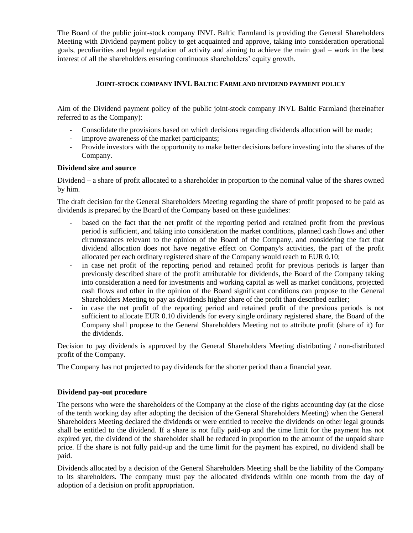The Board of the public joint-stock company INVL Baltic Farmland is providing the General Shareholders Meeting with Dividend payment policy to get acquainted and approve, taking into consideration operational goals, peculiarities and legal regulation of activity and aiming to achieve the main goal – work in the best interest of all the shareholders ensuring continuous shareholders' equity growth.

# **JOINT-STOCK COMPANY INVL BALTIC FARMLAND DIVIDEND PAYMENT POLICY**

Aim of the Dividend payment policy of the public joint-stock company INVL Baltic Farmland (hereinafter referred to as the Company):

- Consolidate the provisions based on which decisions regarding dividends allocation will be made;
- Improve awareness of the market participants;
- Provide investors with the opportunity to make better decisions before investing into the shares of the Company.

## **Dividend size and source**

Dividend – a share of profit allocated to a shareholder in proportion to the nominal value of the shares owned by him.

The draft decision for the General Shareholders Meeting regarding the share of profit proposed to be paid as dividends is prepared by the Board of the Company based on these guidelines:

- based on the fact that the net profit of the reporting period and retained profit from the previous period is sufficient, and taking into consideration the market conditions, planned cash flows and other circumstances relevant to the opinion of the Board of the Company, and considering the fact that dividend allocation does not have negative effect on Company's activities, the part of the profit allocated per each ordinary registered share of the Company would reach to EUR 0.10;
- in case net profit of the reporting period and retained profit for previous periods is larger than previously described share of the profit attributable for dividends, the Board of the Company taking into consideration a need for investments and working capital as well as market conditions, projected cash flows and other in the opinion of the Board significant conditions can propose to the General Shareholders Meeting to pay as dividends higher share of the profit than described earlier;
- in case the net profit of the reporting period and retained profit of the previous periods is not sufficient to allocate EUR 0.10 dividends for every single ordinary registered share, the Board of the Company shall propose to the General Shareholders Meeting not to attribute profit (share of it) for the dividends.

Decision to pay dividends is approved by the General Shareholders Meeting distributing / non-distributed profit of the Company.

The Company has not projected to pay dividends for the shorter period than a financial year.

## **Dividend pay-out procedure**

The persons who were the shareholders of the Company at the close of the rights accounting day (at the close of the tenth working day after adopting the decision of the General Shareholders Meeting) when the General Shareholders Meeting declared the dividends or were entitled to receive the dividends on other legal grounds shall be entitled to the dividend. If a share is not fully paid-up and the time limit for the payment has not expired yet, the dividend of the shareholder shall be reduced in proportion to the amount of the unpaid share price. If the share is not fully paid-up and the time limit for the payment has expired, no dividend shall be paid.

Dividends allocated by a decision of the General Shareholders Meeting shall be the liability of the Company to its shareholders. The company must pay the allocated dividends within one month from the day of adoption of a decision on profit appropriation.